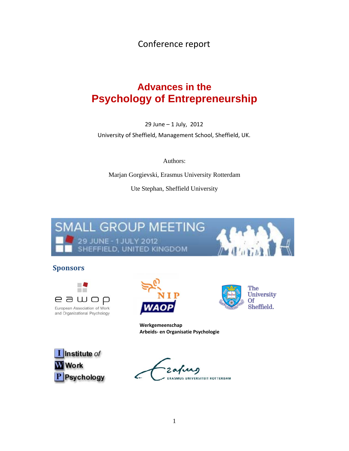Conference report

# **Advances in the Psychology of Entrepreneurship**

29 June – 1 July, 2012

University of Sheffield, Management School, Sheffield, UK.

Authors:

Marjan Gorgievski, Erasmus University Rotterdam

Ute Stephan, Sheffield University



# **Sponsors**





**Werkgemeenschap Arbeids‐ en Organisatie Psychologie**

The

**Of** 

University

Sheffield.



ERASMUS UNIVERSITEIT ROTTERDAM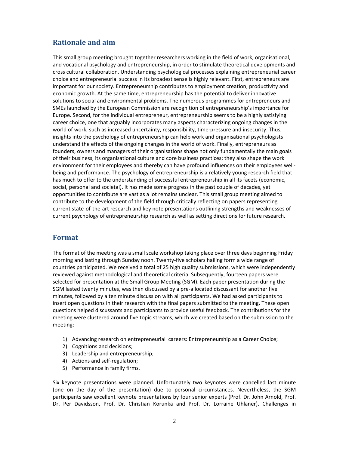# **Rationale and aim**

This small group meeting brought together researchers working in the field of work, organisational, and vocational psychology and entrepreneurship, in order to stimulate theoretical developments and cross cultural collaboration. Understanding psychological processes explaining entrepreneurial career choice and entrepreneurial success in its broadest sense is highly relevant. First, entrepreneurs are important for our society. Entrepreneurship contributes to employment creation, productivity and economic growth. At the same time, entrepreneurship has the potential to deliver innovative solutions to social and environmental problems. The numerous programmes for entrepreneurs and SMEs launched by the European Commission are recognition of entrepreneurship's importance for Europe. Second, for the individual entrepreneur, entrepreneurship seems to be a highly satisfying career choice, one that arguably incorporates many aspects characterizing ongoing changes in the world of work, such as increased uncertainty, responsibility, time-pressure and insecurity. Thus, insights into the psychology of entrepreneurship can help work and organisational psychologists understand the effects of the ongoing changes in the world of work. Finally, entrepreneurs as founders, owners and managers of their organisations shape not only fundamentally the main goals of their business, its organisational culture and core business practices; they also shape the work environment for their employees and thereby can have profound influences on their employees wellbeing and performance. The psychology of entrepreneurship is a relatively young research field that has much to offer to the understanding of successful entrepreneurship in all its facets (economic, social, personal and societal). It has made some progress in the past couple of decades, yet opportunities to contribute are vast as a lot remains unclear. This small group meeting aimed to contribute to the development of the field through critically reflecting on papers representing current state‐of‐the‐art research and key note presentations outlining strengths and weaknesses of current psychology of entrepreneurship research as well as setting directions for future research.

### **Format**

The format of the meeting was a small scale workshop taking place over three days beginning Friday morning and lasting through Sunday noon. Twenty‐five scholars hailing form a wide range of countries participated. We received a total of 25 high quality submissions, which were independently reviewed against methodological and theoretical criteria. Subsequently, fourteen papers were selected for presentation at the Small Group Meeting (SGM). Each paper presentation during the SGM lasted twenty minutes, was then discussed by a pre‐allocated discussant for another five minutes, followed by a ten minute discussion with all participants. We had asked participants to insert open questions in their research with the final papers submitted to the meeting. These open questions helped discussants and participants to provide useful feedback. The contributions for the meeting were clustered around five topic streams, which we created based on the submission to the meeting:

- 1) Advancing research on entrepreneurial careers: Entrepreneurship as a Career Choice;
- 2) Cognitions and decisions;
- 3) Leadership and entrepreneurship;
- 4) Actions and self-regulation;
- 5) Performance in family firms.

Six keynote presentations were planned. Unfortunately two keynotes were cancelled last minute (one on the day of the presentation) due to personal circumstances. Nevertheless, the SGM participants saw excellent keynote presentations by four senior experts (Prof. Dr. John Arnold, Prof. Dr. Per Davidsson, Prof. Dr. Christian Korunka and Prof. Dr. Lorraine Uhlaner). Challenges in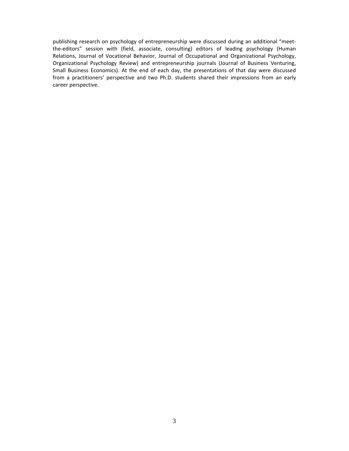publishing research on psychology of entrepreneurship were discussed during an additional "meet‐ the-editors" session with (field, associate, consulting) editors of leading psychology (Human Relations, Journal of Vocational Behavior, Journal of Occupational and Organizational Psychology, Organizational Psychology Review) and entrepreneurship journals (Journal of Business Venturing, Small Business Economics). At the end of each day, the presentations of that day were discussed from a practitioners' perspective and two Ph.D. students shared their impressions from an early career perspective.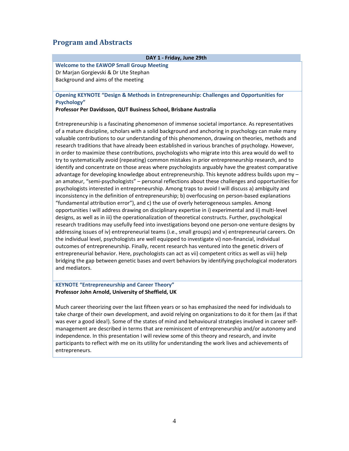# **Program and Abstracts**

| <b>Welcome to the EAWOP Small Group Meeting</b><br>Dr Marjan Gorgievski & Dr Ute Stephan<br>Background and aims of the meeting<br>Opening KEYNOTE "Design & Methods in Entrepreneurship: Challenges and Opportunities for<br>Psychology"<br>Professor Per Davidsson, QUT Business School, Brisbane Australia<br>"fundamental attribution error"), and c) the use of overly heterogeneous samples. Among<br>designs, as well as in iii) the operationalization of theoretical constructs. Further, psychological<br>the individual level, psychologists are well equipped to investigate vi) non-financial, individual<br>outcomes of entrepreneurship. Finally, recent research has ventured into the genetic drivers of<br>and mediators. | DAY 1 - Friday, June 29th                                                                                                                                                                                                                                                                                                                                                                                                                                                                                                                                                                                                                                                                                                                                                                                                                                                                                                                                                                                                                                                                                                                                                                                                                                                                                                                                                                                                                                                                                                                                                                                                                                                                         |  |  |  |
|--------------------------------------------------------------------------------------------------------------------------------------------------------------------------------------------------------------------------------------------------------------------------------------------------------------------------------------------------------------------------------------------------------------------------------------------------------------------------------------------------------------------------------------------------------------------------------------------------------------------------------------------------------------------------------------------------------------------------------------------|---------------------------------------------------------------------------------------------------------------------------------------------------------------------------------------------------------------------------------------------------------------------------------------------------------------------------------------------------------------------------------------------------------------------------------------------------------------------------------------------------------------------------------------------------------------------------------------------------------------------------------------------------------------------------------------------------------------------------------------------------------------------------------------------------------------------------------------------------------------------------------------------------------------------------------------------------------------------------------------------------------------------------------------------------------------------------------------------------------------------------------------------------------------------------------------------------------------------------------------------------------------------------------------------------------------------------------------------------------------------------------------------------------------------------------------------------------------------------------------------------------------------------------------------------------------------------------------------------------------------------------------------------------------------------------------------------|--|--|--|
|                                                                                                                                                                                                                                                                                                                                                                                                                                                                                                                                                                                                                                                                                                                                            |                                                                                                                                                                                                                                                                                                                                                                                                                                                                                                                                                                                                                                                                                                                                                                                                                                                                                                                                                                                                                                                                                                                                                                                                                                                                                                                                                                                                                                                                                                                                                                                                                                                                                                   |  |  |  |
|                                                                                                                                                                                                                                                                                                                                                                                                                                                                                                                                                                                                                                                                                                                                            |                                                                                                                                                                                                                                                                                                                                                                                                                                                                                                                                                                                                                                                                                                                                                                                                                                                                                                                                                                                                                                                                                                                                                                                                                                                                                                                                                                                                                                                                                                                                                                                                                                                                                                   |  |  |  |
|                                                                                                                                                                                                                                                                                                                                                                                                                                                                                                                                                                                                                                                                                                                                            |                                                                                                                                                                                                                                                                                                                                                                                                                                                                                                                                                                                                                                                                                                                                                                                                                                                                                                                                                                                                                                                                                                                                                                                                                                                                                                                                                                                                                                                                                                                                                                                                                                                                                                   |  |  |  |
|                                                                                                                                                                                                                                                                                                                                                                                                                                                                                                                                                                                                                                                                                                                                            |                                                                                                                                                                                                                                                                                                                                                                                                                                                                                                                                                                                                                                                                                                                                                                                                                                                                                                                                                                                                                                                                                                                                                                                                                                                                                                                                                                                                                                                                                                                                                                                                                                                                                                   |  |  |  |
|                                                                                                                                                                                                                                                                                                                                                                                                                                                                                                                                                                                                                                                                                                                                            |                                                                                                                                                                                                                                                                                                                                                                                                                                                                                                                                                                                                                                                                                                                                                                                                                                                                                                                                                                                                                                                                                                                                                                                                                                                                                                                                                                                                                                                                                                                                                                                                                                                                                                   |  |  |  |
|                                                                                                                                                                                                                                                                                                                                                                                                                                                                                                                                                                                                                                                                                                                                            | Entrepreneurship is a fascinating phenomenon of immense societal importance. As representatives<br>of a mature discipline, scholars with a solid background and anchoring in psychology can make many<br>valuable contributions to our understanding of this phenomenon, drawing on theories, methods and<br>research traditions that have already been established in various branches of psychology. However,<br>in order to maximize these contributions, psychologists who migrate into this area would do well to<br>try to systematically avoid (repeating) common mistakes in prior entrepreneurship research, and to<br>identify and concentrate on those areas where psychologists arguably have the greatest comparative<br>advantage for developing knowledge about entrepreneurship. This keynote address builds upon my -<br>an amateur, "semi-psychologists" - personal reflections about these challenges and opportunities for<br>psychologists interested in entrepreneurship. Among traps to avoid I will discuss a) ambiguity and<br>inconsistency in the definition of entrepreneurship; b) overfocusing on person-based explanations<br>opportunities I will address drawing on disciplinary expertise in i) experimental and ii) multi-level<br>research traditions may usefully feed into investigations beyond one person-one venture designs by<br>addressing issues of iv) entrepreneurial teams (i.e., small groups) and v) entrepreneurial careers. On<br>entrepreneurial behavior. Here, psychologists can act as vii) competent critics as well as viii) help<br>bridging the gap between genetic bases and overt behaviors by identifying psychological moderators |  |  |  |

### **KEYNOTE "Entrepreneurship and Career Theory" Professor John Arnold, University of Sheffield, UK**

Much career theorizing over the last fifteen years or so has emphasized the need for individuals to take charge of their own development, and avoid relying on organizations to do it for them (as if that was ever a good idea!). Some of the states of mind and behavioural strategies involved in career selfmanagement are described in terms that are reminiscent of entrepreneurship and/or autonomy and independence. In this presentation I will review some of this theory and research, and invite participants to reflect with me on its utility for understanding the work lives and achievements of entrepreneurs.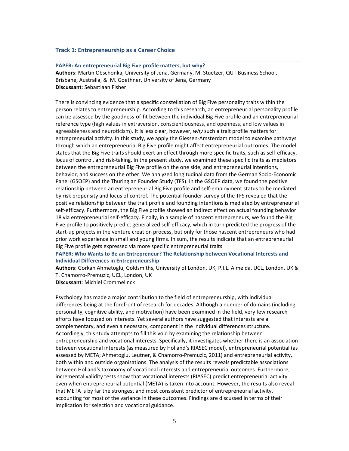#### **Track 1: Entrepreneurship as a Career Choice**

**PAPER: An entrepreneurial Big Five profile matters, but why? Authors**: Martin Obschonka, University of Jena, Germany, M. Stuetzer, QUT Business School, Brisbane, Australia, & M. Goethner, University of Jena, Germany **Discussant**: Sebastiaan Fisher

There is convincing evidence that a specific constellation of Big Five personality traits within the person relates to entrepreneurship. According to this research, an entrepreneurial personality profile can be assessed by the goodness‐of‐fit between the individual Big Five profile and an entrepreneurial reference type (high values in extraversion, conscientiousness, and openness, and low values in agreeableness and neuroticism). It is less clear, however, *why* such a trait profile matters for entrepreneurial activity. In this study, we apply the Giessen-Amsterdam model to examine pathways through which an entrepreneurial Big Five profile might affect entrepreneurial outcomes. The model states that the Big Five traits should exert an effect through more specific traits, such as self‐efficacy, locus of control, and risk‐taking. In the present study, we examined these specific traits as mediators between the entrepreneurial Big Five profile on the one side, and entrepreneurial intentions, behavior, and success on the other. We analyzed longitudinal data from the German Socio‐Economic Panel (GSOEP) and the Thuringian Founder Study (TFS). In the GSOEP data, we found the positive relationship between an entrepreneurial Big Five profile and self‐employment status to be mediated by risk propensity and locus of control. The potential founder survey of the TFS revealed that the positive relationship between the trait profile and founding intentions is mediated by entrepreneurial self‐efficacy. Furthermore, the Big Five profile showed an indirect effect on actual founding behavior 18 via entrepreneurial self‐efficacy. Finally, in a sample of nascent entrepreneurs, we found the Big Five profile to positively predict generalized self‐efficacy, which in turn predicted the progress of the start-up projects in the venture creation process, but only for those nascent entrepreneurs who had prior work experience in small and young firms. In sum, the results indicate that an entrepreneurial Big Five profile gets expressed via more specific entrepreneurial traits.

**PAPER: Who Wants to Be an Entrepreneur? The Relationship between Vocational Interests and Individual Differences in Entrepreneurship**

**Authors**: Gorkan Ahmetoglu, Goldsmiths, University of London, UK, P.I.L. Almeida, UCL, London, UK & T. Chamorro‐Premuzic, UCL, London, UK

**Discussant**: Michiel Crommelinck

Psychology has made a major contribution to the field of entrepreneurship, with individual differences being at the forefront of research for decades. Although a number of domains (including personality, cognitive ability, and motivation) have been examined in the field, very few research efforts have focused on interests. Yet several authors have suggested that interests are a complementary, and even a necessary, component in the individual differences structure. Accordingly, this study attempts to fill this void by examining the relationship between entrepreneurship and vocational interests. Specifically, it investigates whether there is an association between vocational interests (as measured by Holland's RIASEC model), entrepreneurial potential (as assessed by META; Ahmetoglu, Leutner, & Chamorro‐Premuzic, 2011) and entrepreneurial activity, both within and outside organisations. The analysis of the results reveals predictable associations between Holland's taxonomy of vocational interests and entrepreneurial outcomes. Furthermore, incremental validity tests show that vocational interests (RIASEC) predict entrepreneurial activity even when entrepreneurial potential (META) is taken into account. However, the results also reveal that META is by far the strongest and most consistent predictor of entrepreneurial activity, accounting for most of the variance in these outcomes. Findings are discussed in terms of their implication for selection and vocational guidance.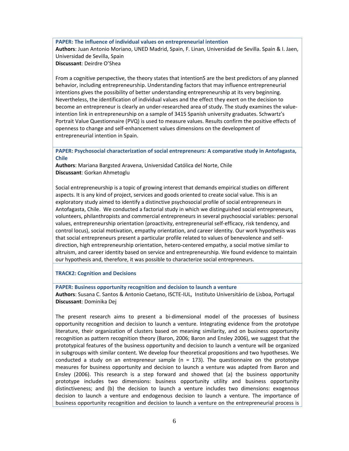**PAPER: The influence of individual values on entrepreneurial intention Authors**: Juan Antonio Moriano, UNED Madrid, Spain, F. Linan, Universidad de Sevilla. Spain & I. Jaen, Universidad de Sevilla, Spain **Discussant**: Deirdre O'Shea

From a cognitive perspective, the theory states that intentionS are the best predictors of any planned behavior, including entrepreneurship. Understanding factors that may influence entrepreneurial intentions gives the possibility of better understanding entrepreneurship at its very beginning. Nevertheless, the identification of individual values and the effect they exert on the decision to become an entrepreneur is clearly an under-researched area of study. The study examines the valueintention link in entrepreneurship on a sample of 3415 Spanish university graduates. Schwartz's Portrait Value Questionnaire (PVQ) is used to measure values. Results confirm the positive effects of openness to change and self‐enhancement values dimensions on the development of entrepreneurial intention in Spain.

**PAPER: Psychosocial characterization of social entrepreneurs: A comparative study in Antofagasta, Chile**

**Authors**: Mariana Bargsted Aravena, Universidad Católica del Norte, Chile **Discussant**: Gorkan Ahmetoglu

Social entrepreneurship is a topic of growing interest that demands empirical studies on different aspects. It is any kind of project, services and goods oriented to create social value. This is an exploratory study aimed to identify a distinctive psychosocial profile of social entrepreneurs in Antofagasta, Chile. We conducted a factorial study in which we distinguished social entrepreneurs, volunteers, philanthropists and commercial entrepreneurs in several psychosocial variables: personal values, entrepreneurship orientation (proactivity, entrepreneurial self‐efficacy, risk tendency, and control locus), social motivation, empathy orientation, and career identity. Our work hypothesis was that social entrepreneurs present a particular profile related to values of benevolence and self‐ direction, high entrepreneurship orientation, hetero‐centered empathy, a social motive similar to altruism, and career identity based on service and entrepreneurship. We found evidence to maintain our hypothesis and, therefore, it was possible to characterize social entrepreneurs.

**TRACK2: Cognition and Decisions**

**PAPER: Business opportunity recognition and decision to launch a venture**

**Authors**: Susana C. Santos & Antonio Caetano, ISCTE‐IUL, Instituto Universitário de Lisboa, Portugal **Discussant**: Dominika Dej

The present research aims to present a bi-dimensional model of the processes of business opportunity recognition and decision to launch a venture. Integrating evidence from the prototype literature, their organization of clusters based on meaning similarity, and on business opportunity recognition as pattern recognition theory (Baron, 2006; Baron and Ensley 2006), we suggest that the prototypical features of the business opportunity and decision to launch a venture will be organized in subgroups with similar content. We develop four theoretical propositions and two hypotheses. We conducted a study on an entrepreneur sample ( $n = 173$ ). The questionnaire on the prototype measures for business opportunity and decision to launch a venture was adapted from Baron and Ensley (2006). This research is a step forward and showed that (a) the business opportunity prototype includes two dimensions: business opportunity utility and business opportunity distinctiveness; and (b) the decision to launch a venture includes two dimensions: exogenous decision to launch a venture and endogenous decision to launch a venture. The importance of business opportunity recognition and decision to launch a venture on the entrepreneurial process is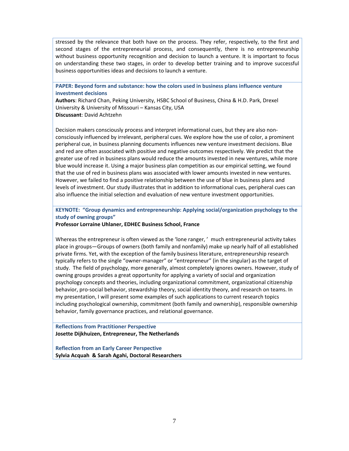stressed by the relevance that both have on the process. They refer, respectively, to the first and second stages of the entrepreneurial process, and consequently, there is no entrepreneurship without business opportunity recognition and decision to launch a venture. It is important to focus on understanding these two stages, in order to develop better training and to improve successful business opportunities ideas and decisions to launch a venture.

**PAPER: Beyond form and substance: how the colors used in business plans influence venture investment decisions**

**Authors**: Richard Chan, Peking University, HSBC School of Business, China & H.D. Park, Drexel University & University of Missouri – Kansas City, USA **Discussant**: David Achtzehn

Decision makers consciously process and interpret informational cues, but they are also non‐ consciously influenced by irrelevant, peripheral cues. We explore how the use of color, a prominent peripheral cue, in business planning documents influences new venture investment decisions. Blue and red are often associated with positive and negative outcomes respectively. We predict that the greater use of red in business plans would reduce the amounts invested in new ventures, while more blue would increase it. Using a major business plan competition as our empirical setting, we found that the use of red in business plans was associated with lower amounts invested in new ventures. However, we failed to find a positive relationship between the use of blue in business plans and levels of investment. Our study illustrates that in addition to informational cues, peripheral cues can also influence the initial selection and evaluation of new venture investment opportunities.

**KEYNOTE: "Group dynamics and entrepreneurship: Applying social/organization psychology to the study of owning groups"**

**Professor Lorraine Uhlaner, EDHEC Business School, France**

Whereas the entrepreneur is often viewed as the 'lone ranger, ' much entrepreneurial activity takes place in groups—Groups of owners (both family and nonfamily) make up nearly half of all established private firms. Yet, with the exception of the family business literature, entrepreneurship research typically refers to the single "owner‐manager" or "entrepreneur" (in the singular) as the target of study. The field of psychology, more generally, almost completely ignores owners. However, study of owning groups provides a great opportunity for applying a variety of social and organization psychology concepts and theories, including organizational commitment, organizational citizenship behavior, pro‐social behavior, stewardship theory, social identity theory, and research on teams. In my presentation, I will present some examples of such applications to current research topics including psychological ownership, commitment (both family and ownership), responsible ownership behavior, family governance practices, and relational governance.

**Reflections from Practitioner Perspective Josette Dijkhuizen, Entrepreneur, The Netherlands** 

**Reflection from an Early Career Perspective Sylvia Acquah & Sarah Agahi, Doctoral Researchers**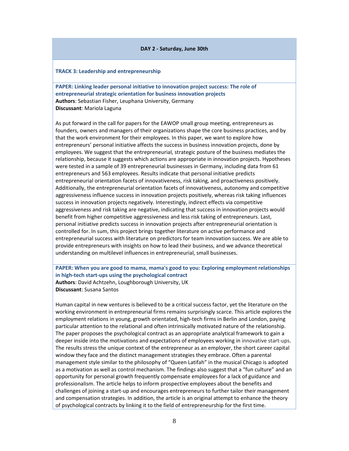#### **DAY 2 ‐ Saturday, June 30th**

#### **TRACK 3: Leadership and entrepreneurship**

**PAPER: Linking leader personal initiative to innovation project success: The role of entrepreneurial strategic orientation for business innovation projects Authors**: Sebastian Fisher, Leuphana University, Germany **Discussant**: Mariola Laguna

As put forward in the call for papers for the EAWOP small group meeting, entrepreneurs as founders, owners and managers of their organizations shape the core business practices, and by that the work environment for their employees. In this paper, we want to explore how entrepreneurs' personal initiative affects the success in business innovation projects, done by employees. We suggest that the entrepreneurial, strategic posture of the business mediates the relationship, because it suggests which actions are appropriate in innovation projects. Hypotheses were tested in a sample of 39 entrepreneurial businesses in Germany, including data from 61 entrepreneurs and 563 employees. Results indicate that personal initiative predicts entrepreneurial orientation facets of innovativeness, risk taking, and proactiveness positively. Additionally, the entrepreneurial orientation facets of innovativeness, autonomy and competitive aggressiveness influence success in innovation projects positively, whereas risk taking influences success in innovation projects negatively. Interestingly, indirect effects via competitive aggressiveness and risk taking are negative, indicating that success in innovation projects would benefit from higher competitive aggressiveness and less risk taking of entrepreneurs. Last, personal initiative predicts success in innovation projects after entrepreneurial orientation is controlled for. In sum, this project brings together literature on active performance and entrepreneurial success with literature on predictors for team innovation success. We are able to provide entrepreneurs with insights on how to lead their business, and we advance theoretical understanding on multilevel influences in entrepreneurial, small businesses.

### **PAPER: When you are good to mama, mama's good to you: Exploring employment relationships in high‐tech start‐ups using the psychological contract Authors**: David Achtzehn, Loughborough University, UK

**Discussant**: Susana Santos

Human capital in new ventures is believed to be a critical success factor, yet the literature on the working environment in entrepreneurial firms remains surprisingly scarce. This article explores the employment relations in young, growth orientated, high‐tech firms in Berlin and London, paying particular attention to the relational and often intrinsically motivated nature of the relationship. The paper proposes the psychological contract as an appropriate analytical framework to gain a deeper inside into the motivations and expectations of employees working in innovative start‐ups. The results stress the unique context of the entrepreneur as an employer, the short career capital window they face and the distinct management strategies they embrace. Often a parental management style similar to the philosophy of "Queen Latifah" in the musical Chicago is adopted as a motivation as well as control mechanism. The findings also suggest that a "fun culture" and an opportunity for personal growth frequently compensate employees for a lack of guidance and professionalism. The article helps to inform prospective employees about the benefits and challenges of joining a start‐up and encourages entrepreneurs to further tailor their management and compensation strategies. In addition, the article is an original attempt to enhance the theory of psychological contracts by linking it to the field of entrepreneurship for the first time.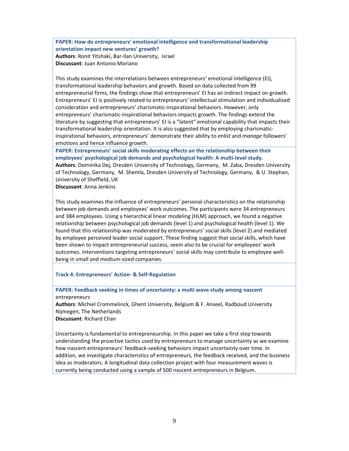**PAPER: How do entrepreneurs' emotional intelligence and transformational leadership orientation impact new ventures' growth?**

**Authors**: Ronit Yitshaki, Bar‐Ilan University, Israel **Discussant**: Juan Antonio Moriano

This study examines the interrelations between entrepreneurs' emotional intelligence (EI), transformational leadership behaviors and growth. Based on data collected from 99 entrepreneurial firms, the findings show that entrepreneurs' EI has an indirect impact on growth. Entrepreneurs' EI is positively related to entrepreneurs' intellectual stimulation and individualized consideration and entrepreneurs' charismatic‐inspirational behaviors. However, only entrepreneurs' charismatic‐inspirational behaviors impacts growth. The findings extend the literature by suggesting that entrepreneurs' EI is a "latent" emotional capability that impacts their transformational leadership orientation. It is also suggested that by employing charismatic‐ inspirational behaviors, entrepreneurs' demonstrate their ability to *enlist* and *manage* followers' emotions and hence influence growth.

**PAPER: Entrepreneurs' social skills moderating effects on the relationship between their employees' psychological job demands and psychological health: A multi‐level study. Authors**: Dominika Dej, Dresden University of Technology, Germany, M. Zaba, Dresden University of Technology, Germany, M. Shemla, Dresden University of Technology, Germany, & U. Stephan, University of Sheffield, UK

**Discussant**: Anna Jenkins

This study examines the influence of entrepreneurs' personal characteristics on the relationship between job demands and employees' work outcomes. The participants were 34 entrepreneurs and 384 employees. Using a hierarchical linear modeling (HLM) approach, we found a negative relationship between psychological job demands (level 1) and psychological health (level 1). We found that this relationship was moderated by entrepreneurs' social skills (level 2) and mediated by employee perceived leader social support. These finding suggest that social skills, which have been shown to impact entrepreneurial success, seem also to be crucial for employees' work outcomes. Interventions targeting entrepreneurs' social skills may contribute to employee well‐ being in small and medium‐sized companies.

**Track 4: Entrepreneurs' Action‐ & Self‐Regulation**

**PAPER: Feedback seeking in times of uncertainty: a multi wave study among nascent** entrepreneurs **Authors**: Michiel Crommelinck, Ghent University, Belgium & F. Anseel, Radboud University Nijmegen, The Netherlands

**Discussant**: Richard Chan

Uncertainty is fundamental to entrepreneurship. In this paper we take a first step towards understanding the proactive tactics used by entrepreneurs to manage uncertainty as we examine how nascent entrepreneurs' feedback‐seeking behaviors impact uncertainty over time. In addition, we investigate characteristics of entrepreneurs, the feedback received, and the business idea as moderators. A longitudinal data collection project with four measurement waves is currently being conducted using a sample of 500 nascent entrepreneurs in Belgium.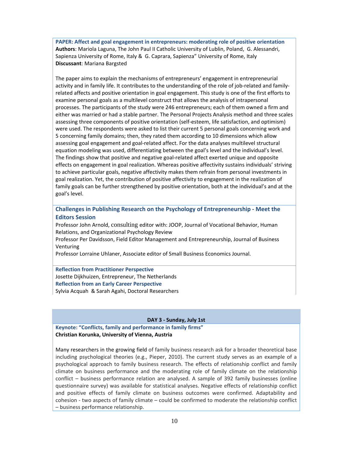**PAPER: Affect and goal engagement in entrepreneurs: moderating role of positive orientation Authors**: Mariola Laguna, The John Paul II Catholic University of Lublin, Poland, G. Alessandri, Sapienza University of Rome, Italy & G. Caprara, Sapienza" University of Rome, Italy **Discussant**: Mariana Bargsted

The paper aims to explain the mechanisms of entrepreneurs' engagement in entrepreneurial activity and in family life. It contributes to the understanding of the role of job-related and familyrelated affects and positive orientation in goal engagement. This study is one of the first efforts to examine personal goals as a multilevel construct that allows the analysis of intrapersonal processes. The participants of the study were 246 entrepreneurs; each of them owned a firm and either was married or had a stable partner. The Personal Projects Analysis method and three scales assessing three components of positive orientation (self‐esteem, life satisfaction, and optimism) were used. The respondents were asked to list their current 5 personal goals concerning work and 5 concerning family domains; then, they rated them according to 10 dimensions which allow assessing goal engagement and goal‐related affect. For the data analyses multilevel structural equation modeling was used, differentiating between the goal's level and the individual's level. The findings show that positive and negative goal‐related affect exerted unique and opposite effects on engagement in goal realization. Whereas positive affectivity sustains individuals' striving to achieve particular goals, negative affectivity makes them refrain from personal investments in goal realization. Yet, the contribution of positive affectivity to engagement in the realization of family goals can be further strengthened by positive orientation, both at the individual's and at the goal's level.

**Challenges in Publishing Research on the Psychology of Entrepreneurship ‐ Meet the Editors Session** 

Professor John Arnold, consulting editor with: JOOP, Journal of Vocational Behavior, Human Relations, and Organizational Psychology Review

Professor Per Davidsson, Field Editor Management and Entrepreneurship, Journal of Business Venturing

Professor Lorraine Uhlaner, Associate editor of Small Business Economics Journal.

**Reflection from Practitioner Perspective** Josette Dijkhuizen, Entrepreneur, The Netherlands **Reflection from an Early Career Perspective**  Sylvia Acquah & Sarah Agahi, Doctoral Researchers

#### **DAY 3 ‐ Sunday, July 1st**

**Keynote: "Conflicts, family and performance in family firms" Christian Korunka, University of Vienna, Austria**

Many researchers in the growing field of family business research ask for a broader theoretical base including psychological theories (e.g., Pieper, 2010). The current study serves as an example of a psychological approach to family business research. The effects of relationship conflict and family climate on business performance and the moderating role of family climate on the relationship conflict – business performance relation are analysed. A sample of 392 family businesses (online questionnaire survey) was available for statistical analyses. Negative effects of relationship conflict and positive effects of family climate on business outcomes were confirmed. Adaptability and cohesion ‐ two aspects of family climate – could be confirmed to moderate the relationship conflict – business performance relationship.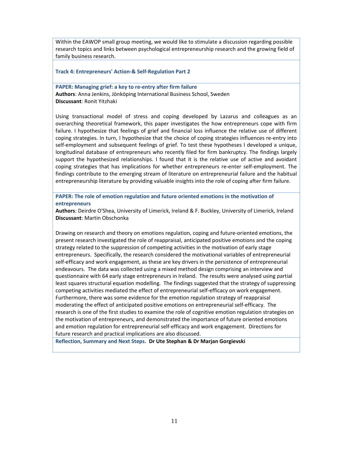Within the EAWOP small group meeting, we would like to stimulate a discussion regarding possible research topics and links between psychological entrepreneurship research and the growing field of family business research.

**Track 4: Entrepreneurs' Action‐& Self‐Regulation Part 2**

**PAPER: Managing grief: a key to re‐entry after firm failure Authors**: Anna Jenkins, Jönköping International Business School, Sweden **Discussant**: Ronit Yitzhaki

Using transactional model of stress and coping developed by Lazarus and colleagues as an overarching theoretical framework, this paper investigates the how entrepreneurs cope with firm failure. I hypothesize that feelings of grief and financial loss influence the relative use of different coping strategies. In turn, I hypothesize that the choice of coping strategies influences re-entry into self-employment and subsequent feelings of grief. To test these hypotheses I developed a unique, longitudinal database of entrepreneurs who recently filed for firm bankruptcy. The findings largely support the hypothesized relationships. I found that it is the relative use of active and avoidant coping strategies that has implications for whether entrepreneurs re-enter self-employment. The findings contribute to the emerging stream of literature on entrepreneurial failure and the habitual entrepreneurship literature by providing valuable insights into the role of coping after firm failure.

**PAPER: The role of emotion regulation and future oriented emotions in the motivation of entrepreneurs**

**Authors**: Deirdre O'Shea, University of Limerick, Ireland & F. Buckley, University of Limerick, Ireland **Discussant**: Martin Obschonka

Drawing on research and theory on emotions regulation, coping and future-oriented emotions, the present research investigated the role of reappraisal, anticipated positive emotions and the coping strategy related to the suppression of competing activities in the motivation of early stage entrepreneurs. Specifically, the research considered the motivational variables of entrepreneurial self‐efficacy and work engagement, as these are key drivers in the persistence of entrepreneurial endeavours. The data was collected using a mixed method design comprising an interview and questionnaire with 64 early stage entrepreneurs in Ireland. The results were analysed using partial least squares structural equation modelling. The findings suggested that the strategy of suppressing competing activities mediated the effect of entrepreneurial self‐efficacy on work engagement. Furthermore, there was some evidence for the emotion regulation strategy of reappraisal moderating the effect of anticipated positive emotions on entrepreneurial self‐efficacy. The research is one of the first studies to examine the role of cognitive emotion regulation strategies on the motivation of entrepreneurs, and demonstrated the importance of future oriented emotions and emotion regulation for entrepreneurial self‐efficacy and work engagement. Directions for future research and practical implications are also discussed.

**Reflection, Summary and Next Steps. Dr Ute Stephan & Dr Marjan Gorgievski**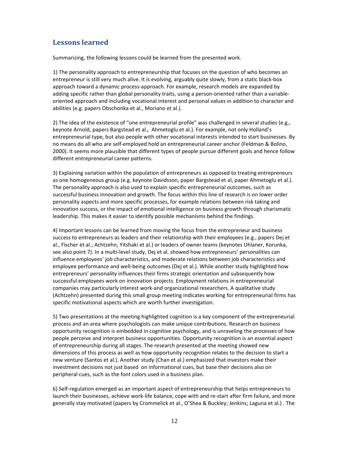# **Lessons learned**

Summarizing, the following lessons could be learned from the presented work.

1) The personality approach to entrepreneurship that focuses on the question of who becomes an entrepreneur is still very much alive. It is evolving, arguably quite slowly, from a static black-box approach toward a dynamic process‐approach. For example, research models are expanded by adding specific rather than global personality traits, using a person-oriented rather than a variableoriented approach and including vocational interest and personal values in addition to character and abilities (e.g. papers Obschonka et al., Moriano et al.).

2) The idea of the existence of "one entrepreneurial profile" was challenged in several studies (e.g., keynote Arnold, papers Bargstead et al., Ahmetoglu et al.). For example, not only Holland's entrepreneurial type, but also people with other vocational interests intended to start businesses. By no means do all who are self‐employed hold an entrepreneurial career anchor (Feldman & Bolino, 2000). It seems more plausible that different types of people pursue different goals and hence follow different entrepreneurial career patterns.

3) Explaining variation within the population of entrepreneurs as opposed to treating entrepreneurs as one homogeneous group (e.g. keynote Davidsson, paper Bargstead et al, paper Ahmetoglu et al.). The personality approach is also used to explain specific entrepreneurial outcomes, such as successful business innovation and growth. The focus within this line of research is on lower order personality aspects and more specific processes, for example relations between risk taking and innovation success, or the impact of emotional intelligence on business growth through charismatic leadership. This makes it easier to identify possible mechanisms behind the findings.

4) Important lessons can be learned from moving the focus from the entrepreneur and business success to entrepreneurs as leaders and their relationship with their employees (e.g., papers Dej et al., Fischer et al.; Achtzehn; Yitshaki et al.) or leaders of owner teams (keynotes Uhlaner, Korunka, see also point 7). In a multi‐level study, Dej et al. showed how entrepreneurs' personalities can influence employees' job characteristics, and moderate relations between job characteristics and employee performance and well-being outcomes (Dej et al.). While another study highlighted how entrepreneurs' personality influences their firms strategic orientation and subsequently how successful employees work on innovation projects. Employment relations in entrepreneurial companies may particularly interest work‐and organizational researchers. A qualitative study (Achtzehn) presented during this small group meeting indicates working for entrepreneurial firms has specific motivational aspects which are worth further investigation.

5) Two presentations at the meeting highlighted cognition is a key component of the entrepreneurial process and an area where psychologists can make unique contributions. Research on business opportunity recognition is embedded in cognitive psychology, and is unraveling the processes of how people perceive and interpret business opportunities. Opportunity recognition is an essential aspect of entrepreneurship during all stages. The research presented at the meeting showed new dimensions of this process as well as how opportunity recognition relates to the decision to start a new venture (Santos et al.). Another study (Chan et al.) emphasized that investors make their investment decisions not just based on informational cues, but base their decisions also on peripheral cues, such as the font colors used in a business plan.

6) Self‐regulation emerged as an important aspect of entrepreneurship that helps entrepreneurs to launch their businesses, achieve work‐life balance, cope with and re‐start after firm failure, and more generally stay motivated (papers by Crommelick et al., O'Shea & Buckley; Jenkins; Laguna et al.) . The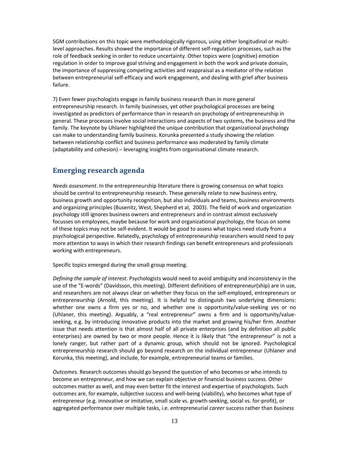SGM contributions on this topic were methodologically rigorous, using either longitudinal or multi‐ level approaches. Results showed the importance of different self‐regulation processes, such as the role of feedback seeking in order to reduce uncertainty. Other topics were (cognitive) emotion regulation in order to improve goal striving and engagement in both the work and private domain, the importance of suppressing competing activities and reappraisal as a mediator of the relation between entrepreneurial self‐efficacy and work engagement, and dealing with grief after business failure.

7) Even fewer psychologists engage in family business research than in more general entrepreneurship research. In family businesses, yet other psychological processes are being investigated as predictors of performance than in research on psychology of entrepreneurship in general. These processes involve social interactions and aspects of two systems, the business and the family. The keynote by Uhlaner highlighted the unique contribution that organizational psychology can make to understanding family business. Korunka presented a study showing the relation between relationship conflict and business performance was moderated by family climate (adaptability and cohesion) – leveraging insights from organisational climate research.

## **Emerging research agenda**

*Needs assessment*. In the entrepreneurship literature there is growing consensus on what topics should be central to entrepreneurship research. These generally relate to new business entry, business growth and opportunity recognition, but also individuals and teams, business environments and organizing principles (Busenitz, West, Shepherd et al, 2003). The field of work and organization psychology still ignores business owners and entrepreneurs and in contrast almost exclusively focusses on employees, maybe because for work and organizational psychology, the focus on some of these topics may not be self‐evident. It would be good to assess what topics need study from a psychological perspective. Relatedly, psychology of entrepreneurship researchers would need to pay more attention to ways in which their research findings can benefit entrepreneurs and professionals working with entrepreneurs.

Specific topics emerged during the small group meeting.

*Defining the sample of interest*. Psychologists would need to avoid ambiguity and inconsistency in the use of the "E-words" (Davidsson, this meeting). Different definitions of entrepreneur(ship) are in use, and researchers are not always clear on whether they focus on the self-employed, entrepreneurs or entrepreneurship (Arnold, this meeting). It is helpful to distinguish two underlying dimensions: whether one owns a firm yes or no, and whether one is opportunity/value-seeking yes or no (Uhlaner, this meeting). Arguably, a "real entrepreneur" owns a firm and is opportunity/value‐ seeking, e.g. by introducing innovative products into the market and growing his/her firm. Another issue that needs attention is that almost half of all private enterprises (and by definition all public enterprises) are owned by two or more people. Hence it is likely that "the entrepreneur" is not a lonely ranger, but rather part of a dynamic group, which should not be ignored. Psychological entrepreneurship research should go beyond research on the individual entrepreneur (Uhlaner and Korunka, this meeting), and include, for example, entrepreneurial teams or families.

*Outcomes.* Research outcomes should go beyond the question of who becomes or who intends to become an entrepreneur, and how we can explain objective or financial business success. Other outcomes matter as well, and may even better fit the interest and expertise of psychologists. Such outcomes are, for example, subjective success and well‐being (viability), who becomes what type of entrepreneur (e.g. innovative or imitative, small scale vs. growth‐seeking, social vs. for‐profit), or aggregated performance over multiple tasks, i.e. entrepreneurial *career* success rather than *business*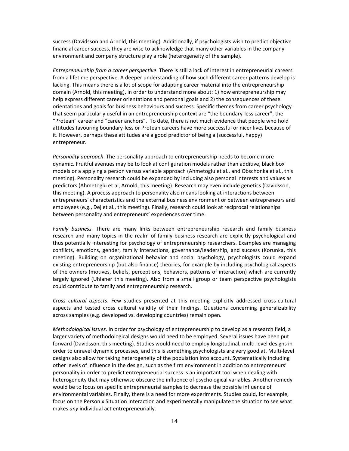success (Davidsson and Arnold, this meeting). Additionally, if psychologists wish to predict objective financial career success, they are wise to acknowledge that many other variables in the company environment and company structure play a role (heterogeneity of the sample).

*Entrepreneurship from a career perspective*. There is still a lack of interest in entrepreneurial careers from a lifetime perspective. A deeper understanding of how such different career patterns develop is lacking. This means there is a lot of scope for adapting career material into the entrepreneurship domain (Arnold, this meeting), in order to understand more about: 1) how entrepreneurship may help express different career orientations and personal goals and 2) the consequences of these orientations and goals for business behaviours and success. Specific themes from career psychology that seem particularly useful in an entrepreneurship context are "the boundary‐less career", the "Protean" career and "career anchors". To date, there is not much evidence that people who hold attitudes favouring boundary‐less or Protean careers have more successful or nicer lives because of it. However, perhaps these attitudes are a good predictor of being a (successful, happy) entrepreneur.

*Personality approach*. The personality approach to entrepreneurship needs to become more dynamic. Fruitful avenues may be to look at configuration models rather than additive, black box models or a applying a person versus variable approach (Ahmetoglu et al., and Obschonka et al., this meeting). Personality research could be expanded by including also personal interests and values as predictors (Ahmetoglu et al, Arnold, this meeting). Research may even include genetics (Davidsson, this meeting). A process approach to personality also means looking at interactions between entrepreneurs' characteristics and the external business environment or between entrepreneurs and employees (e.g., Dej et al., this meeting). Finally, research could look at reciprocal relationships between personality and entrepreneurs' experiences over time.

*Family business.* There are many links between entrepreneurship research and family business research and many topics in the realm of family business research are explicitly psychological and thus potentially interesting for psychology of entrepreneurship researchers. Examples are managing conflicts, emotions, gender, family interactions, governance/leadership, and success (Korunka, this meeting). Building on organizational behavior and social psychology, psychologists could expand existing entrepreneurship (but also finance) theories, for example by including psychological aspects of the owners (motives, beliefs, perceptions, behaviors, patterns of interaction) which are currently largely ignored (Uhlaner this meeting). Also from a small group or team perspective psychologists could contribute to family and entrepreneurship research.

*Cross cultural aspects*. Few studies presented at this meeting explicitly addressed cross‐cultural aspects and tested cross cultural validity of their findings. Questions concerning generalizability across samples (e.g. developed vs. developing countries) remain open.

*Methodological issues*. In order for psychology of entrepreneurship to develop as a research field, a larger variety of methodological designs would need to be employed. Several issues have been put forward (Davidsson, this meeting). Studies would need to employ longitudinal, multi‐level designs in order to unravel dynamic processes, and this is something psychologists are very good at. Multi‐level designs also allow for taking heterogeneity of the population into account. Systematically including other levels of influence in the design, such as the firm environment in addition to entrepreneurs' personality in order to predict entrepreneurial success is an important tool when dealing with heterogeneity that may otherwise obscure the influence of psychological variables. Another remedy would be to focus on specific entrepreneurial samples to decrease the possible influence of environmental variables. Finally, there is a need for more experiments. Studies could, for example, focus on the Person x Situation Interaction and experimentally manipulate the situation to see what makes *any* individual act entrepreneurially.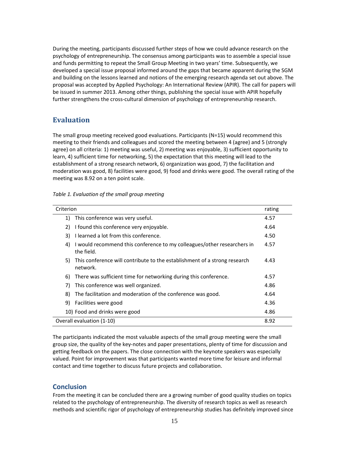During the meeting, participants discussed further steps of how we could advance research on the psychology of entrepreneurship. The consensus among participants was to assemble a special issue and funds permitting to repeat the Small Group Meeting in two years' time. Subsequently, we developed a special issue proposal informed around the gaps that became apparent during the SGM and building on the lessons learned and notions of the emerging research agenda set out above. The proposal was accepted by Applied Psychology: An International Review (APIR). The call for papers will be issued in summer 2013. Among other things, publishing the special issue with APIR hopefully further strengthens the cross‐cultural dimension of psychology of entrepreneurship research.

### **Evaluation**

The small group meeting received good evaluations. Participants (N=15) would recommend this meeting to their friends and colleagues and scored the meeting between 4 (agree) and 5 (strongly agree) on all criteria: 1) meeting was useful, 2) meeting was enjoyable, 3) sufficient opportunity to learn, 4) sufficient time for networking, 5) the expectation that this meeting will lead to the establishment of a strong research network, 6) organization was good, 7) the facilitation and moderation was good, 8) facilities were good, 9) food and drinks were good. The overall rating of the meeting was 8.92 on a ten point scale.

| Criterion                                                                                   | rating |
|---------------------------------------------------------------------------------------------|--------|
| This conference was very useful.<br>1)                                                      | 4.57   |
| 2)<br>I found this conference very enjoyable.                                               | 4.64   |
| I learned a lot from this conference.<br>3)                                                 | 4.50   |
| I would recommend this conference to my colleagues/other researchers in<br>4)<br>the field. | 4.57   |
| This conference will contribute to the establishment of a strong research<br>5)<br>network. | 4.43   |
| There was sufficient time for networking during this conference.<br>6)                      | 4.57   |
| 7)<br>This conference was well organized.                                                   | 4.86   |
| The facilitation and moderation of the conference was good.<br>8)                           | 4.64   |
| Facilities were good<br>9)                                                                  | 4.36   |
| 10) Food and drinks were good                                                               | 4.86   |
| Overall evaluation (1-10)                                                                   | 8.92   |

The participants indicated the most valuable aspects of the small group meeting were the small group size, the quality of the key‐notes and paper presentations, plenty of time for discussion and getting feedback on the papers. The close connection with the keynote speakers was especially valued. Point for improvement was that participants wanted more time for leisure and informal contact and time together to discuss future projects and collaboration.

### **Conclusion**

From the meeting it can be concluded there are a growing number of good quality studies on topics related to the psychology of entrepreneurship. The diversity of research topics as well as research methods and scientific rigor of psychology of entrepreneurship studies has definitely improved since